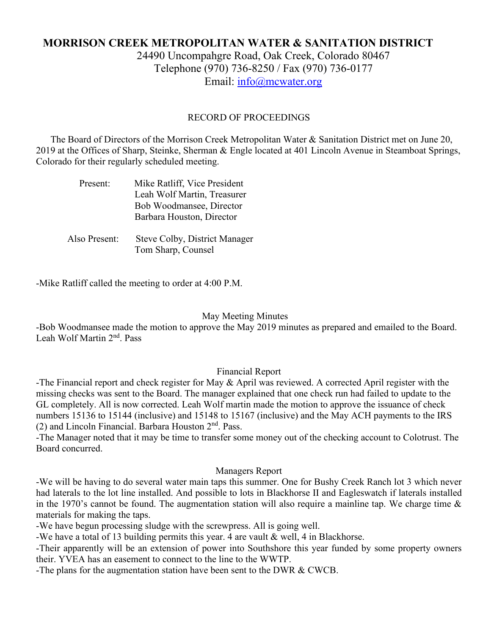## **MORRISON CREEK METROPOLITAN WATER & SANITATION DISTRICT**

24490 Uncompahgre Road, Oak Creek, Colorado 80467 Telephone (970) 736-8250 / Fax (970) 736-0177 Email: [info@mcwater.org](mailto:info@mcwater.org)

#### RECORD OF PROCEEDINGS

 The Board of Directors of the Morrison Creek Metropolitan Water & Sanitation District met on June 20, 2019 at the Offices of Sharp, Steinke, Sherman & Engle located at 401 Lincoln Avenue in Steamboat Springs, Colorado for their regularly scheduled meeting.

| Present:      | Mike Ratliff, Vice President<br>Leah Wolf Martin, Treasurer<br>Bob Woodmansee, Director<br>Barbara Houston, Director |
|---------------|----------------------------------------------------------------------------------------------------------------------|
| Also Present: | Steve Colby, District Manager<br>Tom Sharp, Counsel                                                                  |

-Mike Ratliff called the meeting to order at 4:00 P.M.

#### May Meeting Minutes

-Bob Woodmansee made the motion to approve the May 2019 minutes as prepared and emailed to the Board. Leah Wolf Martin 2nd. Pass

#### Financial Report

-The Financial report and check register for May & April was reviewed. A corrected April register with the missing checks was sent to the Board. The manager explained that one check run had failed to update to the GL completely. All is now corrected. Leah Wolf martin made the motion to approve the issuance of check numbers 15136 to 15144 (inclusive) and 15148 to 15167 (inclusive) and the May ACH payments to the IRS (2) and Lincoln Financial. Barbara Houston  $2<sup>nd</sup>$ . Pass.

-The Manager noted that it may be time to transfer some money out of the checking account to Colotrust. The Board concurred.

#### Managers Report

-We will be having to do several water main taps this summer. One for Bushy Creek Ranch lot 3 which never had laterals to the lot line installed. And possible to lots in Blackhorse II and Eagleswatch if laterals installed in the 1970's cannot be found. The augmentation station will also require a mainline tap. We charge time  $\&$ materials for making the taps.

-We have begun processing sludge with the screwpress. All is going well.

-We have a total of 13 building permits this year. 4 are vault & well, 4 in Blackhorse.

-Their apparently will be an extension of power into Southshore this year funded by some property owners their. YVEA has an easement to connect to the line to the WWTP.

-The plans for the augmentation station have been sent to the DWR & CWCB.